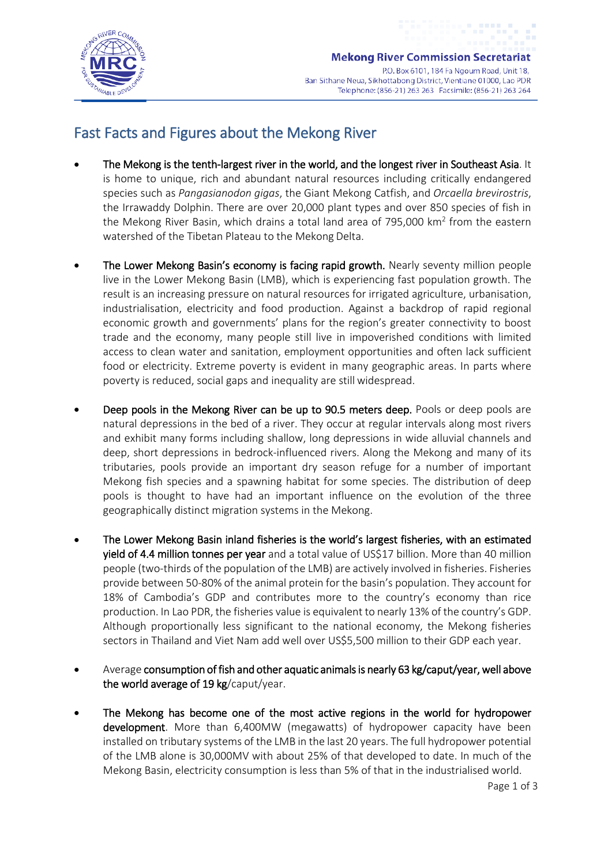

## Fast Facts and Figures about the Mekong River

- The Mekong is the tenth-largest river in the world, and the longest river in Southeast Asia. It is home to unique, rich and abundant natural resources including critically endangered species such as *Pangasianodon gigas*, the Giant Mekong Catfish, and *Orcaella brevirostris*, the Irrawaddy Dolphin. There are over 20,000 plant types and over 850 species of fish in the Mekong River Basin, which drains a total land area of 795,000  $km<sup>2</sup>$  from the eastern watershed of the Tibetan Plateau to the Mekong Delta.
- The Lower Mekong Basin's economy is facing rapid growth. Nearly seventy million people live in the Lower Mekong Basin (LMB), which is experiencing fast population growth. The result is an increasing pressure on natural resources for irrigated agriculture, urbanisation, industrialisation, electricity and food production. Against a backdrop of rapid regional economic growth and governments' plans for the region's greater connectivity to boost trade and the economy, many people still live in impoverished conditions with limited access to clean water and sanitation, employment opportunities and often lack sufficient food or electricity. Extreme poverty is evident in many geographic areas. In parts where poverty is reduced, social gaps and inequality are still widespread.
- Deep pools in the Mekong River can be up to 90.5 meters deep. Pools or deep pools are natural depressions in the bed of a river. They occur at regular intervals along most rivers and exhibit many forms including shallow, long depressions in wide alluvial channels and deep, short depressions in bedrock-influenced rivers. Along the Mekong and many of its tributaries, pools provide an important dry season refuge for a number of important Mekong fish species and a spawning habitat for some species. The distribution of deep pools is thought to have had an important influence on the evolution of the three geographically distinct migration systems in the Mekong.
- The Lower Mekong Basin inland fisheries is the world's largest fisheries, with an estimated yield of 4.4 million tonnes per year and a total value of US\$17 billion. More than 40 million people (two-thirds of the population of the LMB) are actively involved in fisheries. Fisheries provide between 50-80% of the animal protein for the basin's population. They account for 18% of Cambodia's GDP and contributes more to the country's economy than rice production. In Lao PDR, the fisheries value is equivalent to nearly 13% of the country's GDP. Although proportionally less significant to the national economy, the Mekong fisheries sectors in Thailand and Viet Nam add well over US\$5,500 million to their GDP each year.
- Average consumption of fish and other aquatic animals is nearly 63 kg/caput/year, well above the world average of 19 kg/caput/year.
- The Mekong has become one of the most active regions in the world for hydropower development. More than 6,400MW (megawatts) of hydropower capacity have been installed on tributary systems of the LMB in the last 20 years. The full hydropower potential of the LMB alone is 30,000MV with about 25% of that developed to date. In much of the Mekong Basin, electricity consumption is less than 5% of that in the industrialised world.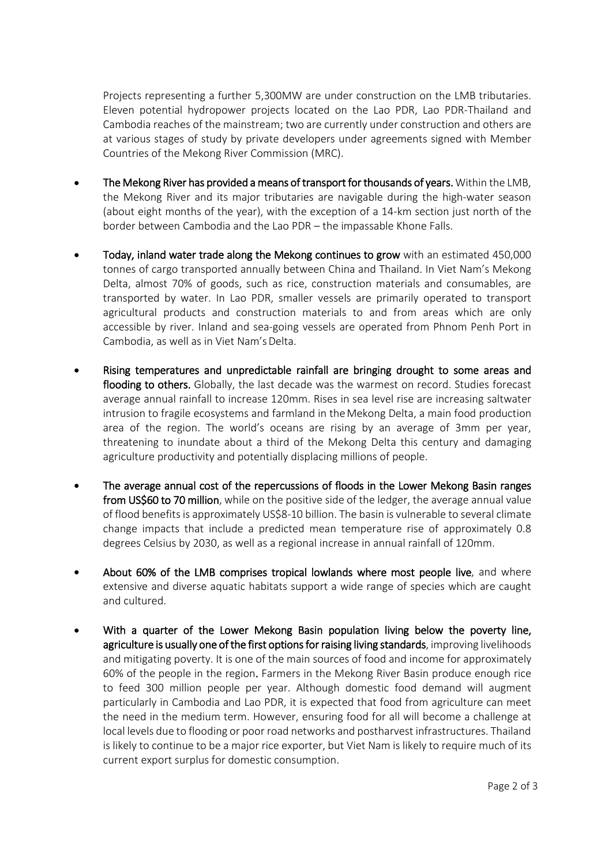Projects representing a further 5,300MW are under construction on the LMB tributaries. Eleven potential hydropower projects located on the Lao PDR, Lao PDR-Thailand and Cambodia reaches of the mainstream; two are currently under construction and others are at various stages of study by private developers under agreements signed with Member Countries of the Mekong River Commission (MRC).

- The Mekong River has provided a means of transport for thousands of years. Within the LMB, the Mekong River and its major tributaries are navigable during the high-water season (about eight months of the year), with the exception of a 14-km section just north of the border between Cambodia and the Lao PDR – the impassable Khone Falls.
- Today, inland water trade along the Mekong continues to grow with an estimated 450,000 tonnes of cargo transported annually between China and Thailand. In Viet Nam's Mekong Delta, almost 70% of goods, such as rice, construction materials and consumables, are transported by water. In Lao PDR, smaller vessels are primarily operated to transport agricultural products and construction materials to and from areas which are only accessible by river. Inland and sea-going vessels are operated from Phnom Penh Port in Cambodia, as well as in Viet Nam's Delta.
- Rising temperatures and unpredictable rainfall are bringing drought to some areas and flooding to others. Globally, the last decade was the warmest on record. Studies forecast average annual rainfall to increase 120mm. Rises in sea level rise are increasing saltwater intrusion to fragile ecosystems and farmland in theMekong Delta, a main food production area of the region. The world's oceans are rising by an average of 3mm per year, threatening to inundate about a third of the Mekong Delta this century and damaging agriculture productivity and potentially displacing millions of people.
- The average annual cost of the repercussions of floods in the Lower Mekong Basin ranges from US\$60 to 70 million, while on the positive side of the ledger, the average annual value of flood benefits is approximately US\$8-10 billion. The basin is vulnerable to several climate change impacts that include a predicted mean temperature rise of approximately 0.8 degrees Celsius by 2030, as well as a regional increase in annual rainfall of 120mm.
- About 60% of the LMB comprises tropical lowlands where most people live, and where extensive and diverse aquatic habitats support a wide range of species which are caught and cultured.
- With a quarter of the Lower Mekong Basin population living below the poverty line, agriculture is usually one of the first options for raising living standards, improving livelihoods and mitigating poverty. It is one of the main sources of food and income for approximately 60% of the people in the region. Farmers in the Mekong River Basin produce enough rice to feed 300 million people per year. Although domestic food demand will augment particularly in Cambodia and Lao PDR, it is expected that food from agriculture can meet the need in the medium term. However, ensuring food for all will become a challenge at local levels due to flooding or poor road networks and postharvest infrastructures. Thailand is likely to continue to be a major rice exporter, but Viet Nam is likely to require much of its current export surplus for domestic consumption.